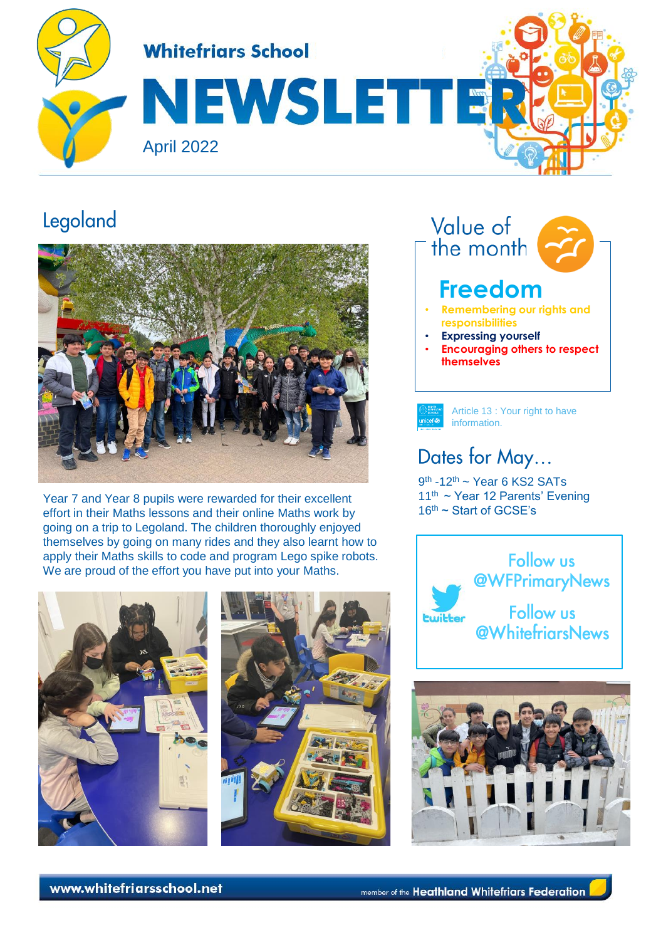

# Legoland



Year 7 and Year 8 pupils were rewarded for their excellent effort in their Maths lessons and their online Maths work by going on a trip to Legoland. The children thoroughly enjoyed themselves by going on many rides and they also learnt how to apply their Maths skills to code and program Lego spike robots. We are proud of the effort you have put into your Maths.







Article 13 : Your right to have information.

## Dates for May...

9<sup>th</sup> -12<sup>th</sup> ~ Year 6 KS2 SATs 11<sup>th</sup> ~ Year 12 Parents' Evening  $16<sup>th</sup>$  ~ Start of GCSE's



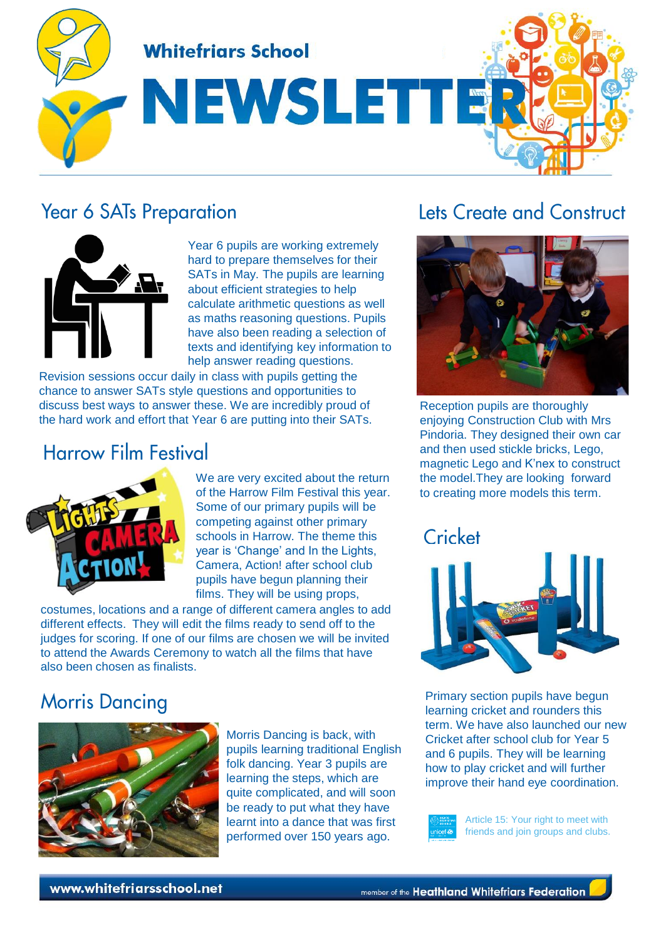

### **Year 6 SATs Preparation**



Year 6 pupils are working extremely hard to prepare themselves for their SATs in May. The pupils are learning about efficient strategies to help calculate arithmetic questions as well as maths reasoning questions. Pupils have also been reading a selection of texts and identifying key information to help answer reading questions.

Revision sessions occur daily in class with pupils getting the chance to answer SATs style questions and opportunities to discuss best ways to answer these. We are incredibly proud of the hard work and effort that Year 6 are putting into their SATs.

### **Harrow Film Festival**



We are very excited about the return of the Harrow Film Festival this year. Some of our primary pupils will be competing against other primary schools in Harrow. The theme this year is 'Change' and In the Lights, Camera, Action! after school club pupils have begun planning their films. They will be using props,

costumes, locations and a range of different camera angles to add different effects. They will edit the films ready to send off to the judges for scoring. If one of our films are chosen we will be invited to attend the Awards Ceremony to watch all the films that have also been chosen as finalists.

### **Morris Dancing**



Morris Dancing is back, with pupils learning traditional English folk dancing. Year 3 pupils are learning the steps, which are quite complicated, and will soon be ready to put what they have learnt into a dance that was first performed over 150 years ago.

### Lets Create and Construct



Reception pupils are thoroughly enjoying Construction Club with Mrs Pindoria. They designed their own car and then used stickle bricks, Lego, magnetic Lego and K'nex to construct the model.They are looking forward to creating more models this term.

### Cricket



Primary section pupils have begun learning cricket and rounders this term. We have also launched our new Cricket after school club for Year 5 and 6 pupils. They will be learning how to play cricket and will further improve their hand eye coordination.



Article 15: Your right to meet with friends and join groups and clubs.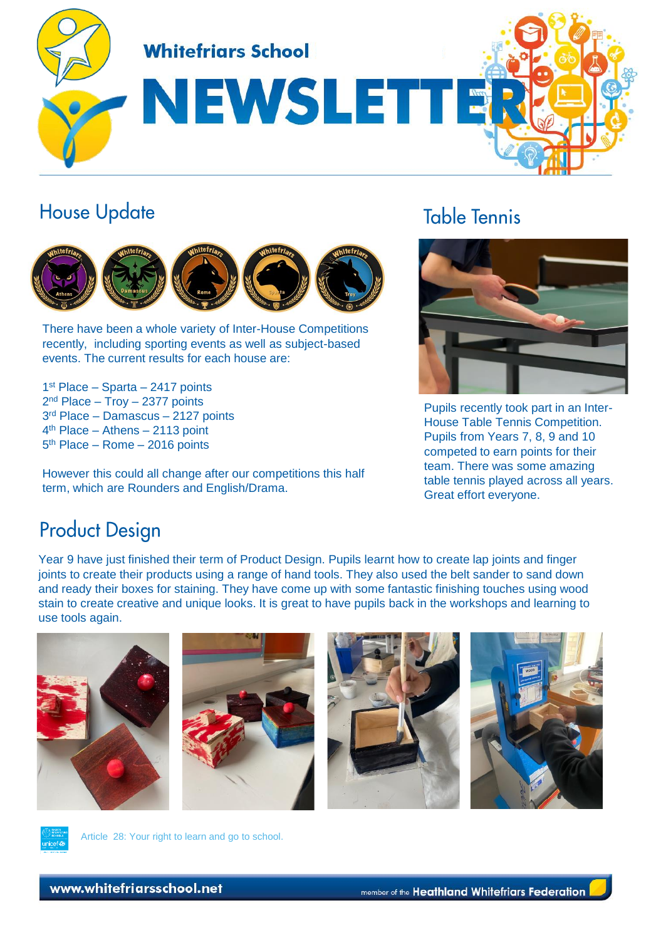

## **House Update**



There have been a whole variety of Inter-House Competitions recently, including sporting events as well as subject-based events. The current results for each house are:

1 st Place – Sparta – 2417 points 2<sup>nd</sup> Place – Troy – 2377 points 3 rd Place – Damascus – 2127 points 4 th Place – Athens – 2113 point 5<sup>th</sup> Place – Rome – 2016 points

However this could all change after our competitions this half term, which are Rounders and English/Drama.

## **Table Tennis**



Pupils recently took part in an Inter-House Table Tennis Competition. Pupils from Years 7, 8, 9 and 10 competed to earn points for their team. There was some amazing table tennis played across all years. Great effort everyone.

# **Product Design**

Year 9 have just finished their term of Product Design. Pupils learnt how to create lap joints and finger joints to create their products using a range of hand tools. They also used the belt sander to sand down and ready their boxes for staining. They have come up with some fantastic finishing touches using wood stain to create creative and unique looks. It is great to have pupils back in the workshops and learning to use tools again.





Article 28: Your right to learn and go to school.